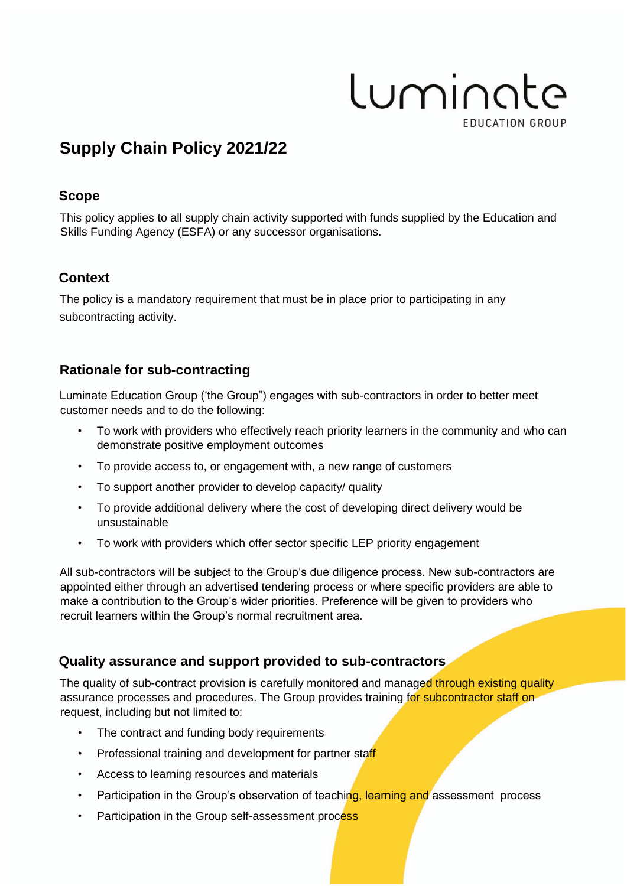# Luminate **EDUCATION GROUP**

# **Supply Chain Policy 2021/22**

#### **Scope**

This policy applies to all supply chain activity supported with funds supplied by the Education and Skills Funding Agency (ESFA) or any successor organisations.

## **Context**

The policy is a mandatory requirement that must be in place prior to participating in any subcontracting activity.

## **Rationale for sub-contracting**

Luminate Education Group ('the Group") engages with sub-contractors in order to better meet customer needs and to do the following:

- To work with providers who effectively reach priority learners in the community and who can demonstrate positive employment outcomes
- To provide access to, or engagement with, a new range of customers
- To support another provider to develop capacity/ quality
- To provide additional delivery where the cost of developing direct delivery would be unsustainable
- To work with providers which offer sector specific LEP priority engagement

All sub-contractors will be subject to the Group's due diligence process. New sub-contractors are appointed either through an advertised tendering process or where specific providers are able to make a contribution to the Group's wider priorities. Preference will be given to providers who recruit learners within the Group's normal recruitment area.

#### **Quality assurance and support provided to sub-contractors**

The quality of sub-contract provision is carefully monitored and managed through existing quality assurance processes and procedures. The Group provides training for subcontractor staff on request, including but not limited to:

- The contract and funding body requirements
- Professional training and development for partner staff
- Access to learning resources and materials
- Participation in the Group's observation of teaching, learning and assessment process
- Participation in the Group self-assessment process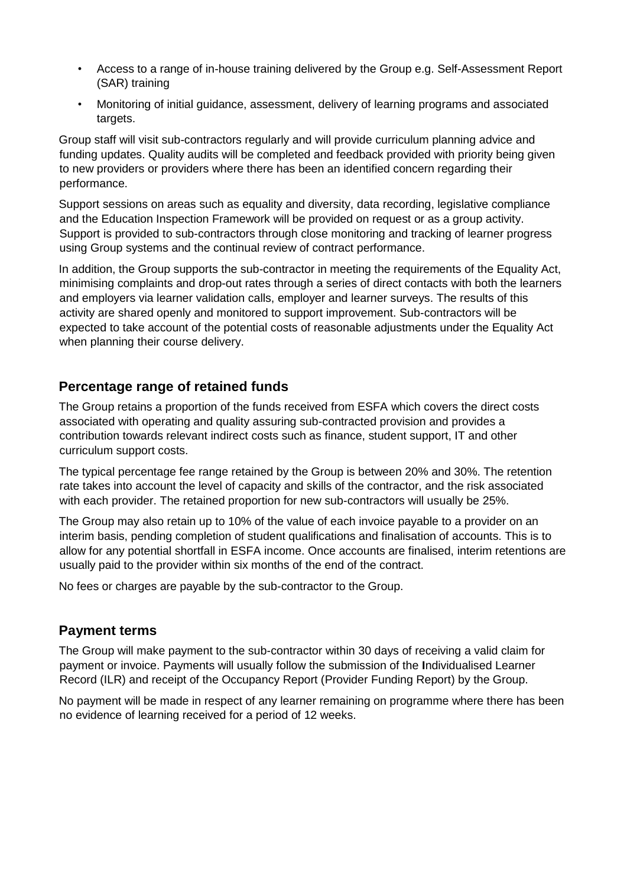- Access to a range of in-house training delivered by the Group e.g. Self-Assessment Report (SAR) training
- Monitoring of initial guidance, assessment, delivery of learning programs and associated targets.

Group staff will visit sub-contractors regularly and will provide curriculum planning advice and funding updates. Quality audits will be completed and feedback provided with priority being given to new providers or providers where there has been an identified concern regarding their performance.

Support sessions on areas such as equality and diversity, data recording, legislative compliance and the Education Inspection Framework will be provided on request or as a group activity. Support is provided to sub-contractors through close monitoring and tracking of learner progress using Group systems and the continual review of contract performance.

In addition, the Group supports the sub-contractor in meeting the requirements of the Equality Act, minimising complaints and drop-out rates through a series of direct contacts with both the learners and employers via learner validation calls, employer and learner surveys. The results of this activity are shared openly and monitored to support improvement. Sub-contractors will be expected to take account of the potential costs of reasonable adjustments under the Equality Act when planning their course delivery.

#### **Percentage range of retained funds**

The Group retains a proportion of the funds received from ESFA which covers the direct costs associated with operating and quality assuring sub-contracted provision and provides a contribution towards relevant indirect costs such as finance, student support, IT and other curriculum support costs.

The typical percentage fee range retained by the Group is between 20% and 30%. The retention rate takes into account the level of capacity and skills of the contractor, and the risk associated with each provider. The retained proportion for new sub-contractors will usually be 25%.

The Group may also retain up to 10% of the value of each invoice payable to a provider on an interim basis, pending completion of student qualifications and finalisation of accounts. This is to allow for any potential shortfall in ESFA income. Once accounts are finalised, interim retentions are usually paid to the provider within six months of the end of the contract.

No fees or charges are payable by the sub-contractor to the Group.

#### **Payment terms**

The Group will make payment to the sub-contractor within 30 days of receiving a valid claim for payment or invoice. Payments will usually follow the submission of the **I**ndividualised Learner Record (ILR) and receipt of the Occupancy Report (Provider Funding Report) by the Group.

No payment will be made in respect of any learner remaining on programme where there has been no evidence of learning received for a period of 12 weeks.